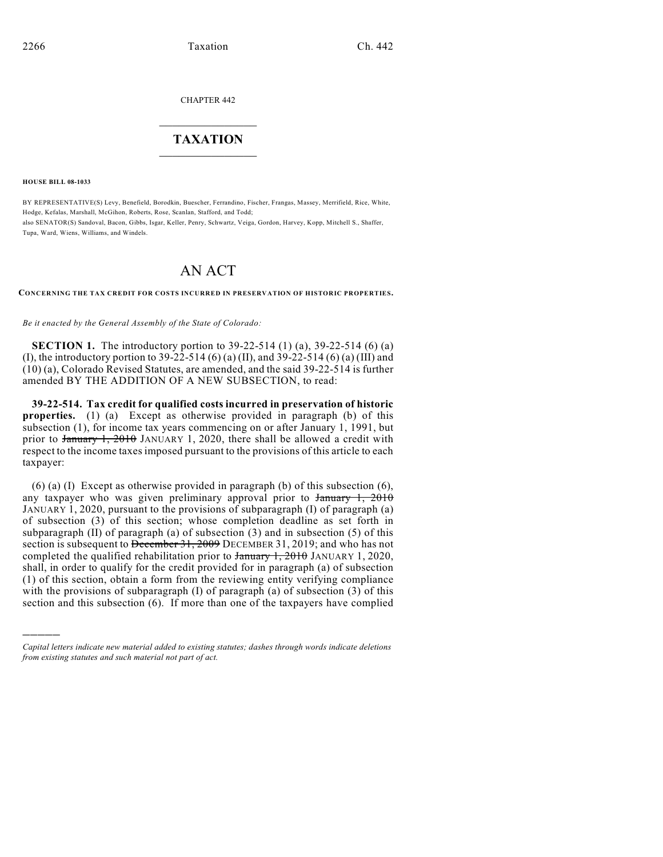CHAPTER 442

## $\mathcal{L}_\text{max}$  . The set of the set of the set of the set of the set of the set of the set of the set of the set of the set of the set of the set of the set of the set of the set of the set of the set of the set of the set **TAXATION**  $\_$

**HOUSE BILL 08-1033**

)))))

BY REPRESENTATIVE(S) Levy, Benefield, Borodkin, Buescher, Ferrandino, Fischer, Frangas, Massey, Merrifield, Rice, White, Hodge, Kefalas, Marshall, McGihon, Roberts, Rose, Scanlan, Stafford, and Todd; also SENATOR(S) Sandoval, Bacon, Gibbs, Isgar, Keller, Penry, Schwartz, Veiga, Gordon, Harvey, Kopp, Mitchell S., Shaffer, Tupa, Ward, Wiens, Williams, and Windels.

## AN ACT

**CONCERNING THE TAX CREDIT FOR COSTS INCURRED IN PRESERVATION OF HISTORIC PROPERTIES.**

*Be it enacted by the General Assembly of the State of Colorado:*

**SECTION 1.** The introductory portion to 39-22-514 (1) (a), 39-22-514 (6) (a) (I), the introductory portion to 39-22-514 (6) (a) (II), and 39-22-514 (6) (a) (III) and (10) (a), Colorado Revised Statutes, are amended, and the said 39-22-514 is further amended BY THE ADDITION OF A NEW SUBSECTION, to read:

**39-22-514. Tax credit for qualified costs incurred in preservation of historic properties.** (1) (a) Except as otherwise provided in paragraph (b) of this subsection (1), for income tax years commencing on or after January 1, 1991, but prior to January 1, 2010 JANUARY 1, 2020, there shall be allowed a credit with respect to the income taxes imposed pursuant to the provisions of this article to each taxpayer:

 $(6)$  (a) (I) Except as otherwise provided in paragraph (b) of this subsection  $(6)$ , any taxpayer who was given preliminary approval prior to January 1, 2010 JANUARY 1, 2020, pursuant to the provisions of subparagraph (I) of paragraph (a) of subsection (3) of this section; whose completion deadline as set forth in subparagraph (II) of paragraph (a) of subsection (3) and in subsection (5) of this section is subsequent to December 31, 2009 DECEMBER 31, 2019; and who has not completed the qualified rehabilitation prior to  $\frac{1}{2010}$ ,  $\frac{1}{2010}$  JANUARY 1, 2020, shall, in order to qualify for the credit provided for in paragraph (a) of subsection (1) of this section, obtain a form from the reviewing entity verifying compliance with the provisions of subparagraph (I) of paragraph (a) of subsection (3) of this section and this subsection (6). If more than one of the taxpayers have complied

*Capital letters indicate new material added to existing statutes; dashes through words indicate deletions from existing statutes and such material not part of act.*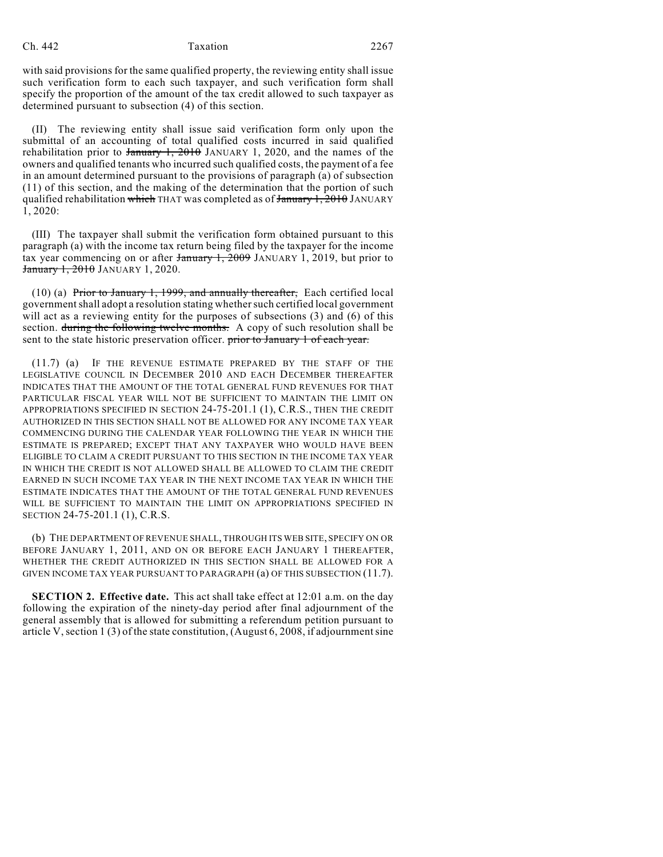## Ch. 442 Taxation 2267

with said provisions for the same qualified property, the reviewing entity shall issue such verification form to each such taxpayer, and such verification form shall specify the proportion of the amount of the tax credit allowed to such taxpayer as determined pursuant to subsection (4) of this section.

(II) The reviewing entity shall issue said verification form only upon the submittal of an accounting of total qualified costs incurred in said qualified rehabilitation prior to  $\frac{1}{2010}$ ,  $\frac{1}{2010}$  JANUARY 1, 2020, and the names of the owners and qualified tenants who incurred such qualified costs, the payment of a fee in an amount determined pursuant to the provisions of paragraph (a) of subsection (11) of this section, and the making of the determination that the portion of such qualified rehabilitation which THAT was completed as of  $J_{\text{amuary}}$  1, 2010 JANUARY 1, 2020:

(III) The taxpayer shall submit the verification form obtained pursuant to this paragraph (a) with the income tax return being filed by the taxpayer for the income tax year commencing on or after  $\frac{1}{2009}$ , JANUARY 1, 2019, but prior to **January 1, 2010** JANUARY 1, 2020.

(10) (a) Prior to January 1, 1999, and annually thereafter, Each certified local government shall adopt a resolution stating whethersuch certified local government will act as a reviewing entity for the purposes of subsections (3) and (6) of this section. during the following twelve months. A copy of such resolution shall be sent to the state historic preservation officer. prior to January 1 of each year.

(11.7) (a) IF THE REVENUE ESTIMATE PREPARED BY THE STAFF OF THE LEGISLATIVE COUNCIL IN DECEMBER 2010 AND EACH DECEMBER THEREAFTER INDICATES THAT THE AMOUNT OF THE TOTAL GENERAL FUND REVENUES FOR THAT PARTICULAR FISCAL YEAR WILL NOT BE SUFFICIENT TO MAINTAIN THE LIMIT ON APPROPRIATIONS SPECIFIED IN SECTION 24-75-201.1 (1), C.R.S., THEN THE CREDIT AUTHORIZED IN THIS SECTION SHALL NOT BE ALLOWED FOR ANY INCOME TAX YEAR COMMENCING DURING THE CALENDAR YEAR FOLLOWING THE YEAR IN WHICH THE ESTIMATE IS PREPARED; EXCEPT THAT ANY TAXPAYER WHO WOULD HAVE BEEN ELIGIBLE TO CLAIM A CREDIT PURSUANT TO THIS SECTION IN THE INCOME TAX YEAR IN WHICH THE CREDIT IS NOT ALLOWED SHALL BE ALLOWED TO CLAIM THE CREDIT EARNED IN SUCH INCOME TAX YEAR IN THE NEXT INCOME TAX YEAR IN WHICH THE ESTIMATE INDICATES THAT THE AMOUNT OF THE TOTAL GENERAL FUND REVENUES WILL BE SUFFICIENT TO MAINTAIN THE LIMIT ON APPROPRIATIONS SPECIFIED IN SECTION 24-75-201.1 (1), C.R.S.

(b) THE DEPARTMENT OF REVENUE SHALL, THROUGH ITS WEB SITE, SPECIFY ON OR BEFORE JANUARY 1, 2011, AND ON OR BEFORE EACH JANUARY 1 THEREAFTER, WHETHER THE CREDIT AUTHORIZED IN THIS SECTION SHALL BE ALLOWED FOR A GIVEN INCOME TAX YEAR PURSUANT TO PARAGRAPH (a) OF THIS SUBSECTION (11.7).

**SECTION 2. Effective date.** This act shall take effect at 12:01 a.m. on the day following the expiration of the ninety-day period after final adjournment of the general assembly that is allowed for submitting a referendum petition pursuant to article V, section 1 (3) of the state constitution, (August 6, 2008, if adjournment sine